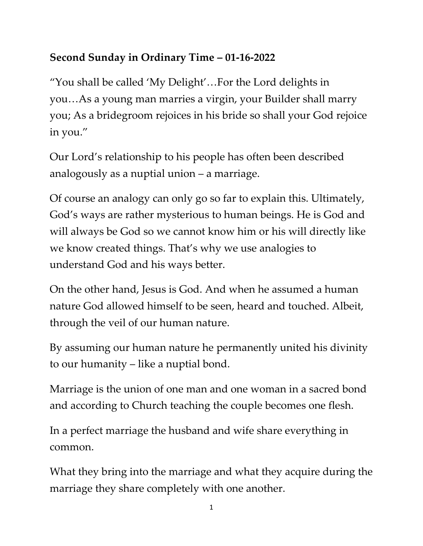## **Second Sunday in Ordinary Time – 01-16-2022**

"You shall be called 'My Delight'…For the Lord delights in you…As a young man marries a virgin, your Builder shall marry you; As a bridegroom rejoices in his bride so shall your God rejoice in you."

Our Lord's relationship to his people has often been described analogously as a nuptial union – a marriage.

Of course an analogy can only go so far to explain this. Ultimately, God's ways are rather mysterious to human beings. He is God and will always be God so we cannot know him or his will directly like we know created things. That's why we use analogies to understand God and his ways better.

On the other hand, Jesus is God. And when he assumed a human nature God allowed himself to be seen, heard and touched. Albeit, through the veil of our human nature.

By assuming our human nature he permanently united his divinity to our humanity – like a nuptial bond.

Marriage is the union of one man and one woman in a sacred bond and according to Church teaching the couple becomes one flesh.

In a perfect marriage the husband and wife share everything in common.

What they bring into the marriage and what they acquire during the marriage they share completely with one another.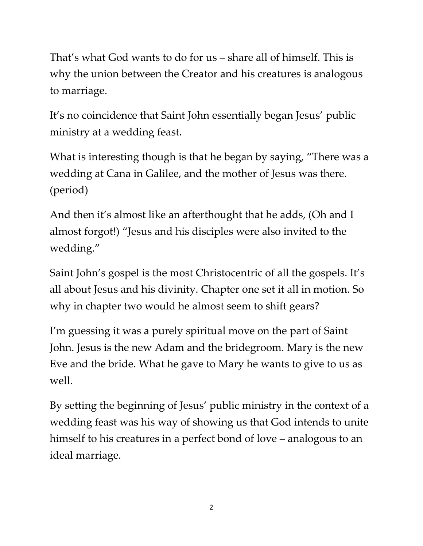That's what God wants to do for us – share all of himself. This is why the union between the Creator and his creatures is analogous to marriage.

It's no coincidence that Saint John essentially began Jesus' public ministry at a wedding feast.

What is interesting though is that he began by saying, "There was a wedding at Cana in Galilee, and the mother of Jesus was there. (period)

And then it's almost like an afterthought that he adds, (Oh and I almost forgot!) "Jesus and his disciples were also invited to the wedding."

Saint John's gospel is the most Christocentric of all the gospels. It's all about Jesus and his divinity. Chapter one set it all in motion. So why in chapter two would he almost seem to shift gears?

I'm guessing it was a purely spiritual move on the part of Saint John. Jesus is the new Adam and the bridegroom. Mary is the new Eve and the bride. What he gave to Mary he wants to give to us as well.

By setting the beginning of Jesus' public ministry in the context of a wedding feast was his way of showing us that God intends to unite himself to his creatures in a perfect bond of love – analogous to an ideal marriage.

2